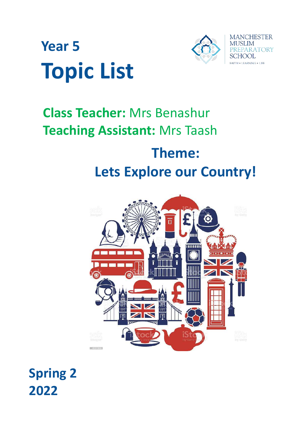



## **Class Teacher:** Mrs Benashur **Teaching Assistant:** Mrs Taash **Theme:**

# **Lets Explore our Country!**£ TUYANT

### **Spring 2 2022**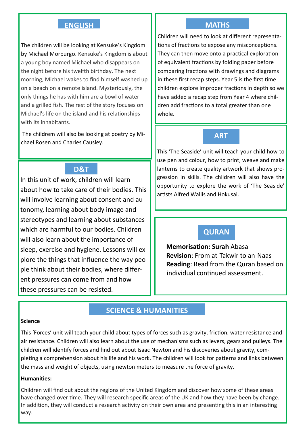#### **ENGLISH**

The children will be looking at Kensuke's Kingdom by Michael Morpurgo. Kensuke's Kingdom is about a young boy named Michael who disappears on the night before his twelfth birthday. The next morning, Michael wakes to find himself washed up on a beach on a remote island. Mysteriously, the only things he has with him are a bowl of water and a grilled fish. The rest of the story focuses on Michael's life on the island and his relationships with its inhabitants.

 The childrem will also be looking at poetry by Michael Rosen and Charles Causley.

#### **D&T**

In this unit of work, children will learn about how to take care of their bodies. This will involve learning about consent and autonomy, learning about body image and stereotypes and learning about substances which are harmful to our bodies. Children will also learn about the importance of sleep, exercise and hygiene. Lessons will explore the things that influence the way people think about their bodies, where different pressures can come from and how these pressures can be resisted.

#### **MATHS**

Children will need to look at different representations of fractions to expose any misconceptions. They can then move onto a practical exploration of equivalent fractions by folding paper before comparing fractions with drawings and diagrams in these first recap steps. Year 5 is the first time children explore improper fractions in depth so we have added a recap step from Year 4 where children add fractions to a total greater than one whole.

#### **ART**

This 'The Seaside' unit will teach your child how to use pen and colour, how to print, weave and make lanterns to create quality artwork that shows progression in skills. The children will also have the opportunity to explore the work of 'The Seaside' artists Alfred Wallis and Hokusai.

#### **QURAN**

**Memorisation: Surah** Abasa **Revision**: From at-Takwir to an-Naas **Reading**: Read from the Quran based on individual continued assessment.

#### **SCIENCE & HUMANITIES**

#### **Science**

This 'Forces' unit will teach your child about types of forces such as gravity, friction, water resistance and air resistance. Children will also learn about the use of mechanisms such as levers, gears and pulleys. The children will identify forces and find out about Isaac Newton and his discoveries about gravity, completing a comprehension about his life and his work. The children will look for patterns and links between the mass and weight of objects, using newton meters to measure the force of gravity.

#### **Humanities:**

Children will find out about the regions of the United Kingdom and discover how some of these areas have changed over time. They will research specific areas of the UK and how they have been by change. In addition, they will conduct a research activity on their own area and presenting this in an interesting way.